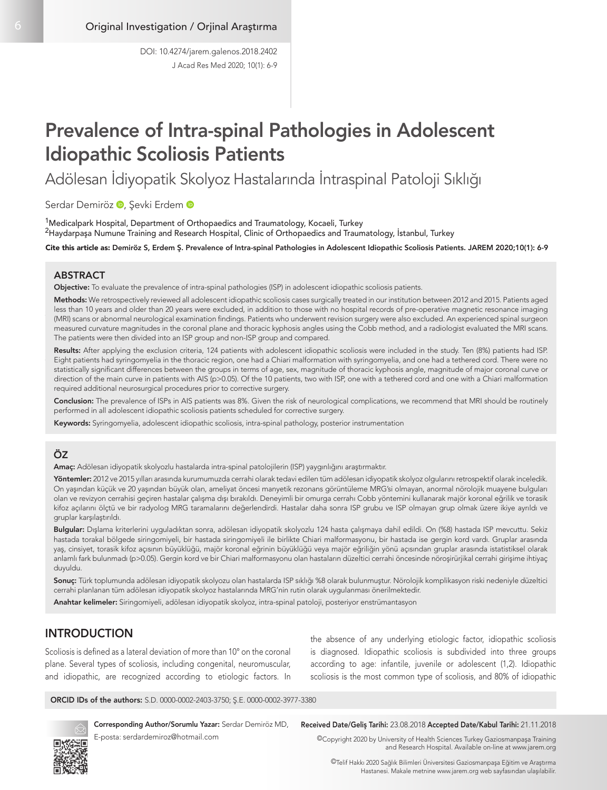# Prevalence of Intra-spinal Pathologies in Adolescent Idiopathic Scoliosis Patients

Adölesan İdiyopatik Skolyoz Hastalarında İntraspinal Patoloji Sıklığı

SerdarDemiröz <sup>D</sup>, Şevki Erdem <sup>D</sup>

<sup>1</sup>Medicalpark Hospital, Department of Orthopaedics and Traumatology, Kocaeli, Turkey <sup>2</sup>Haydarpaşa Numune Training and Research Hospital, Clinic of Orthopaedics and Traumatology, İstanbul, Turkey

Cite this article as: Demiröz S, Erdem Ş. Prevalence of Intra-spinal Pathologies in Adolescent Idiopathic Scoliosis Patients. JAREM 2020;10(1): 6-9

#### ABSTRACT

Objective: To evaluate the prevalence of intra-spinal pathologies (ISP) in adolescent idiopathic scoliosis patients.

recribes the rendspectively reviewed an addiescent idiopatinc sconosis cases surgically treated in our institution between 2012 and 2010. I attents aged<br>less than 10 years and older than 20 years were excluded, in addition (MRI) scans or abnormal neurological examination findings. Patients who underwent revision surgery were also excluded. An experienced spinal surgeon Methods: We retrospectively reviewed all adolescent idiopathic scoliosis cases surgically treated in our institution between 2012 and 2015. Patients aged measured curvature magnitudes in the coronal plane and thoracic kyphosis angles using the Cobb method, and a radiologist evaluated the MRI scans. The patients were then divided into an ISP group and non-ISP group and compared.

Results: After applying the exclusion criteria, 124 patients with adolescent idiopathic scoliosis were included in the study. Ten (8%) patients had ISP. Eight patients had syringomyelia in the thoracic region, one had a Chiari malformation with syringomyelia, and one had a tethered cord. There were no statistically significant differences between the groups in terms of age, sex, magnitude of thoracic kyphosis angle, magnitude of major coronal curve or direction of the main curve in patients with AIS (p>0.05). Of the 10 patients, two with ISP, one with a tethered cord and one with a Chiari malformation required additional neurosurgical procedures prior to corrective surgery.

Conclusion: The prevalence of ISPs in AIS patients was 8%. Given the risk of neurological complications, we recommend that MRI should be routinely performed in all adolescent idiopathic scoliosis patients scheduled for corrective surgery.

Keywords: Syringomyelia, adolescent idiopathic scoliosis, intra-spinal pathology, posterior instrumentation

## ÖZ

Amaç: Adölesan idiyopatik skolyozlu hastalarda intra-spinal patolojilerin (ISP) yaygınlığını araştırmaktır.

Yöntemler: 2012 ve 2015 yılları arasında kurumumuzda cerrahi olarak tedavi edilen tüm adölesan idiyopatik skolyoz olgularını retrospektif olarak inceledik. On yaşından küçük ve 20 yaşından büyük olan, ameliyat öncesi manyetik rezonans görüntüleme MRG'si olmayan, anormal nörolojik muayene bulguları olan ve revizyon cerrahisi geçiren hastalar çalışma dışı bırakıldı. Deneyimli bir omurga cerrahı Cobb yöntemini kullanarak majör koronal eğrilik ve torasik kifoz açılarını ölçtü ve bir radyolog MRG taramalarını değerlendirdi. Hastalar daha sonra ISP grubu ve ISP olmayan grup olmak üzere ikiye ayrıldı ve gruplar karşılaştırıldı.

Bulgular: Dışlama kriterlerini uyguladıktan sonra, adölesan idiyopatik skolyozlu 124 hasta çalışmaya dahil edildi. On (%8) hastada ISP mevcuttu. Sekiz hastada torakal bölgede siringomiyeli, bir hastada siringomiyeli ile birlikte Chiari malformasyonu, bir hastada ise gergin kord vardı. Gruplar arasında yaş, cinsiyet, torasik kifoz açısının büyüklüğü, majör koronal eğrinin büyüklüğü veya majör eğriliğin yönü açısından gruplar arasında istatistiksel olarak anlamlı fark bulunmadı (p>0.05). Gergin kord ve bir Chiari malformasyonu olan hastaların düzeltici cerrahi öncesinde nöroşirürjikal cerrahi girişime ihtiyaç duyuldu.

Sonuç: Türk toplumunda adölesan idiyopatik skolyozu olan hastalarda ISP sıklığı %8 olarak bulunmuştur. Nörolojik komplikasyon riski nedeniyle düzeltici cerrahi planlanan tüm adölesan idiyopatik skolyoz hastalarında MRG'nin rutin olarak uygulanması önerilmektedir.

Anahtar kelimeler: Siringomiyeli, adölesan idiyopatik skolyoz, intra-spinal patoloji, posteriyor enstrümantasyon

# **INTRODUCTION**

Scoliosis is defined as a lateral deviation of more than 10° on the coronal plane. Several types of scoliosis, including congenital, neuromuscular, and idiopathic, are recognized according to etiologic factors. In the absence of any underlying etiologic factor, idiopathic scoliosis is diagnosed. Idiopathic scoliosis is subdivided into three groups according to age: infantile, juvenile or adolescent (1,2). Idiopathic scoliosis is the most common type of scoliosis, and 80% of idiopathic

ORCID IDs of the authors: S.D. 0000-0002-2403-3750; Ş.E. 0000-0002-3977-3380



Corresponding Author/Sorumlu Yazar: Serdar Demiröz MD, E-posta: serdardemiroz@hotmail.com

Received Date/Geliş Tarihi: 23.08.2018 Accepted Date/Kabul Tarihi: 21.11.2018

©Copyright 2020 by University of Health Sciences Turkey Gaziosmanpaşa Training and Research Hospital. Available on-line at www.jarem.org

©Telif Hakkı 2020 Sağlık Bilimleri Üniversitesi Gaziosmanpaşa Eğitim ve Araştırma Hastanesi. Makale metnine www.jarem.org web sayfasından ulaşılabilir.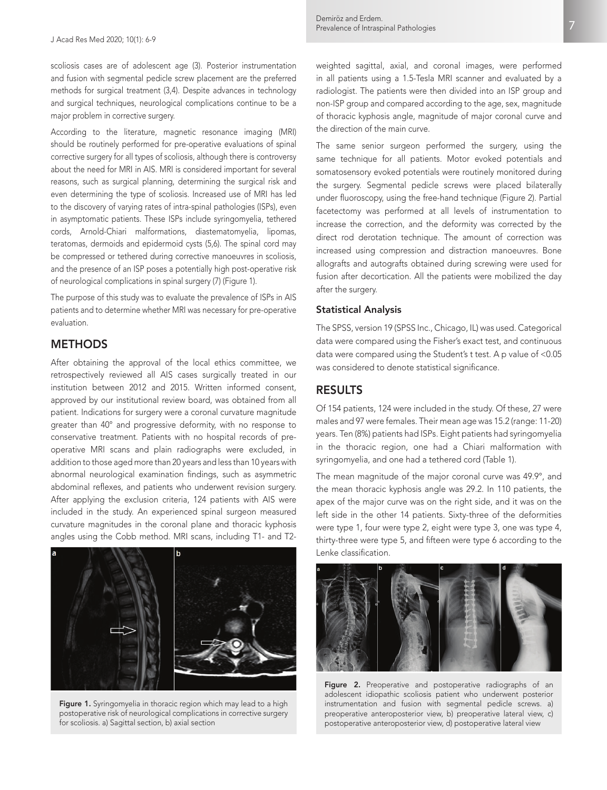scoliosis cases are of adolescent age (3). Posterior instrumentation and fusion with segmental pedicle screw placement are the preferred methods for surgical treatment (3,4). Despite advances in technology and surgical techniques, neurological complications continue to be a major problem in corrective surgery.

According to the literature, magnetic resonance imaging (MRI) should be routinely performed for pre-operative evaluations of spinal corrective surgery for all types of scoliosis, although there is controversy about the need for MRI in AIS. MRI is considered important for several reasons, such as surgical planning, determining the surgical risk and even determining the type of scoliosis. Increased use of MRI has led to the discovery of varying rates of intra-spinal pathologies (ISPs), even in asymptomatic patients. These ISPs include syringomyelia, tethered cords, Arnold-Chiari malformations, diastematomyelia, lipomas, teratomas, dermoids and epidermoid cysts (5,6). The spinal cord may be compressed or tethered during corrective manoeuvres in scoliosis, and the presence of an ISP poses a potentially high post-operative risk of neurological complications in spinal surgery (7) (Figure 1).

The purpose of this study was to evaluate the prevalence of ISPs in AIS patients and to determine whether MRI was necessary for pre-operative evaluation.

## **METHODS**

After obtaining the approval of the local ethics committee, we retrospectively reviewed all AIS cases surgically treated in our institution between 2012 and 2015. Written informed consent, approved by our institutional review board, was obtained from all patient. Indications for surgery were a coronal curvature magnitude greater than 40° and progressive deformity, with no response to conservative treatment. Patients with no hospital records of preoperative MRI scans and plain radiographs were excluded, in addition to those aged more than 20 years and less than 10 years with abnormal neurological examination findings, such as asymmetric abdominal reflexes, and patients who underwent revision surgery. After applying the exclusion criteria, 124 patients with AIS were included in the study. An experienced spinal surgeon measured curvature magnitudes in the coronal plane and thoracic kyphosis angles using the Cobb method. MRI scans, including T1- and T2-



Figure 1. Syringomyelia in thoracic region which may lead to a high postoperative risk of neurological complications in corrective surgery for scoliosis. a) Sagittal section, b) axial section

weighted sagittal, axial, and coronal images, were performed in all patients using a 1.5-Tesla MRI scanner and evaluated by a radiologist. The patients were then divided into an ISP group and non-ISP group and compared according to the age, sex, magnitude of thoracic kyphosis angle, magnitude of major coronal curve and the direction of the main curve.

The same senior surgeon performed the surgery, using the same technique for all patients. Motor evoked potentials and somatosensory evoked potentials were routinely monitored during the surgery. Segmental pedicle screws were placed bilaterally under fluoroscopy, using the free-hand technique (Figure 2). Partial facetectomy was performed at all levels of instrumentation to increase the correction, and the deformity was corrected by the direct rod derotation technique. The amount of correction was increased using compression and distraction manoeuvres. Bone allografts and autografts obtained during screwing were used for fusion after decortication. All the patients were mobilized the day after the surgery.

#### Statistical Analysis

The SPSS, version 19 (SPSS Inc., Chicago, IL) was used. Categorical data were compared using the Fisher's exact test, and continuous data were compared using the Student's t test. A p value of <0.05 was considered to denote statistical significance.

## RESULTS

Of 154 patients, 124 were included in the study. Of these, 27 were males and 97 were females. Their mean age was 15.2 (range: 11-20) years. Ten (8%) patients had ISPs. Eight patients had syringomyelia in the thoracic region, one had a Chiari malformation with syringomyelia, and one had a tethered cord (Table 1).

The mean magnitude of the major coronal curve was 49.9°, and the mean thoracic kyphosis angle was 29.2. In 110 patients, the apex of the major curve was on the right side, and it was on the left side in the other 14 patients. Sixty-three of the deformities were type 1, four were type 2, eight were type 3, one was type 4, thirty-three were type 5, and fifteen were type 6 according to the Lenke classification.



Figure 2. Preoperative and postoperative radiographs of an adolescent idiopathic scoliosis patient who underwent posterior instrumentation and fusion with segmental pedicle screws. a) preoperative anteroposterior view, b) preoperative lateral view, c) postoperative anteroposterior view, d) postoperative lateral view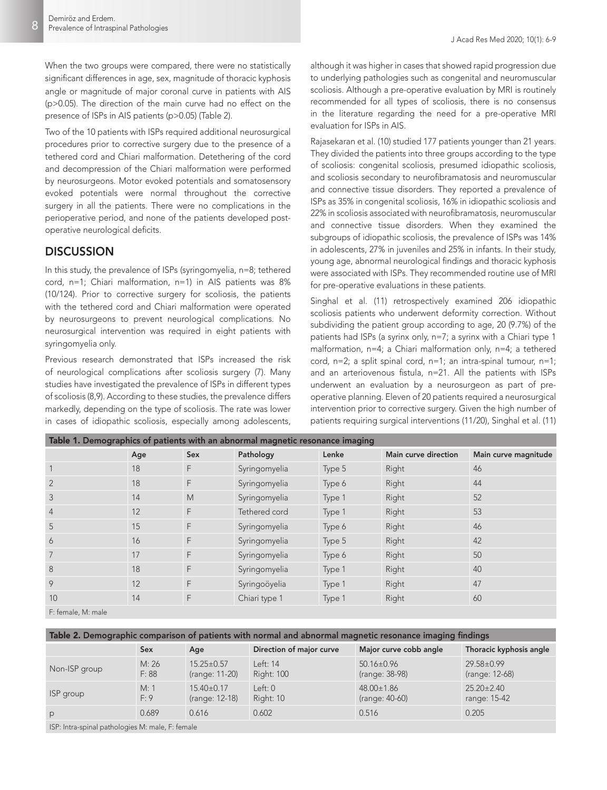J Acad Res Med 2020; 10(1): 6-9

When the two groups were compared, there were no statistically significant differences in age, sex, magnitude of thoracic kyphosis angle or magnitude of major coronal curve in patients with AIS (p>0.05). The direction of the main curve had no effect on the presence of ISPs in AIS patients (p>0.05) (Table 2).

Two of the 10 patients with ISPs required additional neurosurgical procedures prior to corrective surgery due to the presence of a tethered cord and Chiari malformation. Detethering of the cord and decompression of the Chiari malformation were performed by neurosurgeons. Motor evoked potentials and somatosensory evoked potentials were normal throughout the corrective surgery in all the patients. There were no complications in the perioperative period, and none of the patients developed postoperative neurological deficits.

# **DISCUSSION**

In this study, the prevalence of ISPs (syringomyelia, n=8; tethered cord, n=1; Chiari malformation, n=1) in AIS patients was 8% (10/124). Prior to corrective surgery for scoliosis, the patients with the tethered cord and Chiari malformation were operated by neurosurgeons to prevent neurological complications. No neurosurgical intervention was required in eight patients with syringomyelia only.

Previous research demonstrated that ISPs increased the risk of neurological complications after scoliosis surgery (7). Many studies have investigated the prevalence of ISPs in different types of scoliosis (8,9). According to these studies, the prevalence differs markedly, depending on the type of scoliosis. The rate was lower in cases of idiopathic scoliosis, especially among adolescents,

although it was higher in cases that showed rapid progression due to underlying pathologies such as congenital and neuromuscular scoliosis. Although a pre-operative evaluation by MRI is routinely recommended for all types of scoliosis, there is no consensus in the literature regarding the need for a pre-operative MRI evaluation for ISPs in AIS.

Rajasekaran et al. (10) studied 177 patients younger than 21 years. They divided the patients into three groups according to the type of scoliosis: congenital scoliosis, presumed idiopathic scoliosis, and scoliosis secondary to neurofibramatosis and neuromuscular and connective tissue disorders. They reported a prevalence of ISPs as 35% in congenital scoliosis, 16% in idiopathic scoliosis and 22% in scoliosis associated with neurofibramatosis, neuromuscular and connective tissue disorders. When they examined the subgroups of idiopathic scoliosis, the prevalence of ISPs was 14% in adolescents, 27% in juveniles and 25% in infants. In their study, young age, abnormal neurological findings and thoracic kyphosis were associated with ISPs. They recommended routine use of MRI for pre-operative evaluations in these patients.

Singhal et al. (11) retrospectively examined 206 idiopathic scoliosis patients who underwent deformity correction. Without subdividing the patient group according to age, 20 (9.7%) of the patients had ISPs (a syrinx only, n=7; a syrinx with a Chiari type 1 malformation, n=4; a Chiari malformation only, n=4; a tethered cord,  $n=2$ ; a split spinal cord,  $n=1$ ; an intra-spinal tumour,  $n=1$ ; and an arteriovenous fistula, n=21. All the patients with ISPs underwent an evaluation by a neurosurgeon as part of preoperative planning. Eleven of 20 patients required a neurosurgical intervention prior to corrective surgery. Given the high number of patients requiring surgical interventions (11/20), Singhal et al. (11)

| Table 1. Demographics of patients with an abnormal magnetic resonance imaging |     |     |               |        |                      |                      |  |  |  |  |
|-------------------------------------------------------------------------------|-----|-----|---------------|--------|----------------------|----------------------|--|--|--|--|
|                                                                               | Age | Sex | Pathology     | Lenke  | Main curve direction | Main curve magnitude |  |  |  |  |
|                                                                               | 18  | F   | Syringomyelia | Type 5 | Right                | 46                   |  |  |  |  |
| $\overline{2}$                                                                | 18  | F   | Syringomyelia | Type 6 | Right                | 44                   |  |  |  |  |
| 3                                                                             | 14  | M   | Syringomyelia | Type 1 | Right                | 52                   |  |  |  |  |
| $\overline{4}$                                                                | 12  | F   | Tethered cord | Type 1 | Right                | 53                   |  |  |  |  |
| 5                                                                             | 15  | F   | Syringomyelia | Type 6 | Right                | 46                   |  |  |  |  |
| 6                                                                             | 16  | F   | Syringomyelia | Type 5 | Right                | 42                   |  |  |  |  |
|                                                                               | 17  | F   | Syringomyelia | Type 6 | Right                | 50                   |  |  |  |  |
| 8                                                                             | 18  | F   | Syringomyelia | Type 1 | Right                | 40                   |  |  |  |  |
| 9                                                                             | 12  | F   | Syringoöyelia | Type 1 | Right                | 47                   |  |  |  |  |
| 10                                                                            | 14  | F   | Chiari type 1 | Type 1 | Right                | 60                   |  |  |  |  |
| _ _ _ _ _ _                                                                   |     |     |               |        |                      |                      |  |  |  |  |

F: female, M: male

| Table 2. Demographic comparison of patients with normal and abnormal magnetic resonance imaging findings                                     |                |                                    |                               |                                    |                                    |  |  |  |  |
|----------------------------------------------------------------------------------------------------------------------------------------------|----------------|------------------------------------|-------------------------------|------------------------------------|------------------------------------|--|--|--|--|
|                                                                                                                                              | Sex            | Age                                | Direction of major curve      | Major curve cobb angle             | Thoracic kyphosis angle            |  |  |  |  |
| Non-ISP group                                                                                                                                | M: 26<br>F: 88 | $15.25 \pm 0.57$<br>(range: 11-20) | Left: 14<br><b>Right: 100</b> | $50.16 \pm 0.96$<br>(range: 38-98) | $29.58 \pm 0.99$<br>(range: 12-68) |  |  |  |  |
| ISP group                                                                                                                                    | M: 1<br>F: 9   | $15.40 \pm 0.17$<br>(range: 12-18) | Left: 0<br>Right: 10          | 48.00±1.86<br>(range: 40-60)       | $25.20 \pm 2.40$<br>range: 15-42   |  |  |  |  |
| P                                                                                                                                            | 0.689          | 0.616                              | 0.602                         | 0.516                              | 0.205                              |  |  |  |  |
| $\mathbf{A}$ and $\mathbf{A}$ and $\mathbf{A}$ and $\mathbf{A}$ and $\mathbf{A}$ and $\mathbf{A}$ and $\mathbf{A}$ and $\mathbf{A}$<br>10011 |                |                                    |                               |                                    |                                    |  |  |  |  |

ISP: Intra-spinal pathologies M: male, F: female